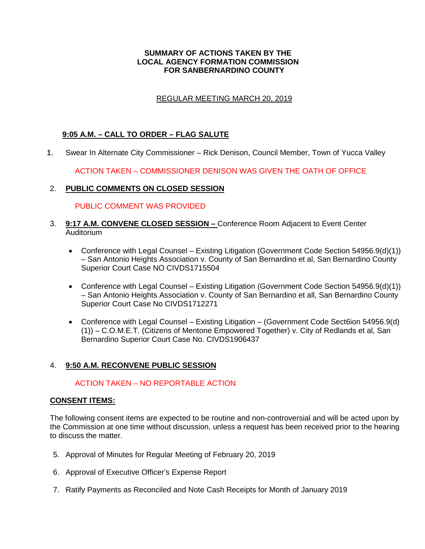### **SUMMARY OF ACTIONS TAKEN BY THE LOCAL AGENCY FORMATION COMMISSION FOR SANBERNARDINO COUNTY**

# REGULAR MEETING MARCH 20, 2019

# **9:05 A.M. – CALL TO ORDER – FLAG SALUTE**

1. Swear In Alternate City Commissioner – Rick Denison, Council Member, Town of Yucca Valley 1.

ACTION TAKEN – COMMISSIONER DENISON WAS GIVEN THE OATH OF OFFICE

# 2. **PUBLIC COMMENTS ON CLOSED SESSION**

#### PUBLIC COMMENT WAS PROVIDED

- 3. **9:17 A.M. CONVENE CLOSED SESSION** Conference Room Adjacent to Event Center **Auditorium** 
	- Conference with Legal Counsel Existing Litigation (Government Code Section 54956.9(d)(1)) – San Antonio Heights Association v. County of San Bernardino et al, San Bernardino County Superior Court Case NO CIVDS1715504
	- Conference with Legal Counsel Existing Litigation (Government Code Section 54956.9(d)(1)) – San Antonio Heights Association v. County of San Bernardino et all, San Bernardino County Superior Court Case No CIVDS1712271
	- Conference with Legal Counsel Existing Litigation (Government Code Sect6ion 54956.9(d) (1)) – C.O.M.E.T. (Citizens of Mentone Empowered Together) v. City of Redlands et al, San Bernardino Superior Court Case No. CIVDS1906437

# 4. **9:50 A.M. RECONVENE PUBLIC SESSION**

# ACTION TAKEN – NO REPORTABLE ACTION

#### **CONSENT ITEMS:**

The following consent items are expected to be routine and non-controversial and will be acted upon by the Commission at one time without discussion, unless a request has been received prior to the hearing to discuss the matter.

- 5. Approval of Minutes for Regular Meeting of February 20, 2019
- 6. Approval of Executive Officer's Expense Report
- 7. Ratify Payments as Reconciled and Note Cash Receipts for Month of January 2019